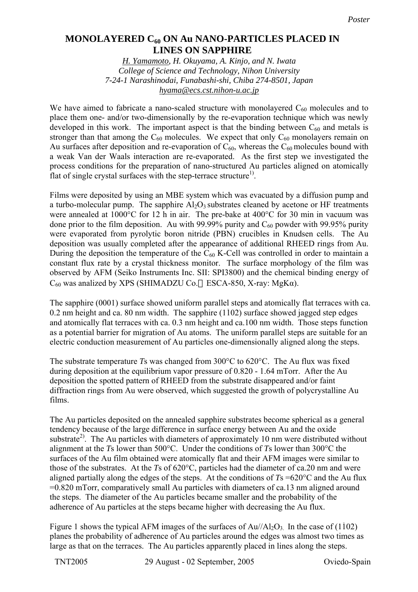## **Monolayered C60 on Au Nano-Particles Placed in Lines on Sapphire MONOLAYERED C60 ON Au NANO-PARTICLES PLACED IN LINES ON SAPPHIRE**

*H. Yamamoto, H. Okuyama, A. Kinjo, and N. Iwata College of Science and Technology, Nihon University 7-24-1 Narashinodai, Funabashi-shi, Chiba 274-8501, Japan hyama@ecs.cst.nihon-u.ac.jp*

We have aimed to fabricate a nano-scaled structure with monolayered  $C_{60}$  molecules and to place them one- and/or two-dimensionally by the re-evaporation technique which was newly developed in this work. The important aspect is that the binding between  $C_{60}$  and metals is stronger than that among the  $C_{60}$  molecules. We expect that only  $C_{60}$  monolayers remain on Au surfaces after deposition and re-evaporation of  $C_{60}$ , whereas the  $C_{60}$  molecules bound with a weak Van der Waals interaction are re-evaporated. As the first step we investigated the process conditions for the preparation of nano-structured Au particles aligned on atomically flat of single crystal surfaces with the step-terrace structure<sup>1)</sup>.

Films were deposited by using an MBE system which was evacuated by a diffusion pump and a turbo-molecular pump. The sapphire  $A<sub>2</sub>O<sub>3</sub>$  substrates cleaned by acetone or HF treatments were annealed at 1000°C for 12 h in air. The pre-bake at 400°C for 30 min in vacuum was done prior to the film deposition. Au with 99.99% purity and  $C_{60}$  powder with 99.95% purity were evaporated from pyrolytic boron nitride (PBN) crucibles in Knudsen cells. The Au deposition was usually completed after the appearance of additional RHEED rings from Au. During the deposition the temperature of the  $C_{60}$  K-Cell was controlled in order to maintain a constant flux rate by a crystal thickness monitor. The surface morphology of the film was observed by AFM (Seiko Instruments Inc. SII: SPI3800) and the chemical binding energy of  $C_{60}$  was analized by XPS (SHIMADZU Co. ESCA-850, X-ray: MgK $\alpha$ ).

The sapphire (0001) surface showed uniform parallel steps and atomically flat terraces with ca. 0.2 nm height and ca. 80 nm width. The sapphire (1102) surface showed jagged step edges and atomically flat terraces with ca. 0.3 nm height and ca.100 nm width. Those steps function as a potential barrier for migration of Au atoms. The uniform parallel steps are suitable for an electric conduction measurement of Au particles one-dimensionally aligned along the steps.

The substrate temperature *T*s was changed from 300°C to 620°C. The Au flux was fixed during deposition at the equilibrium vapor pressure of 0.820 - 1.64 mTorr. After the Au deposition the spotted pattern of RHEED from the substrate disappeared and/or faint diffraction rings from Au were observed, which suggested the growth of polycrystalline Au films.

The Au particles deposited on the annealed sapphire substrates become spherical as a general tendency because of the large difference in surface energy between Au and the oxide substrate<sup>2)</sup>. The Au particles with diameters of approximately 10 nm were distributed without alignment at the *T*s lower than 500°C. Under the conditions of *T*s lower than 300°C the surfaces of the Au film obtained were atomically flat and their AFM images were similar to those of the substrates. At the *T*s of 620°C, particles had the diameter of ca.20 nm and were aligned partially along the edges of the steps. At the conditions of  $T_s = 620^{\circ}$ C and the Au flux =0.820 mTorr, comparatively small Au particles with diameters of ca.13 nm aligned around the steps. The diameter of the Au particles became smaller and the probability of the adherence of Au particles at the steps became higher with decreasing the Au flux.

Figure 1 shows the typical AFM images of the surfaces of  $Au/|A_2O_3|$  In the case of (1102) planes the probability of adherence of Au particles around the edges was almost two times as large as that on the terraces. The Au particles apparently placed in lines along the steps.